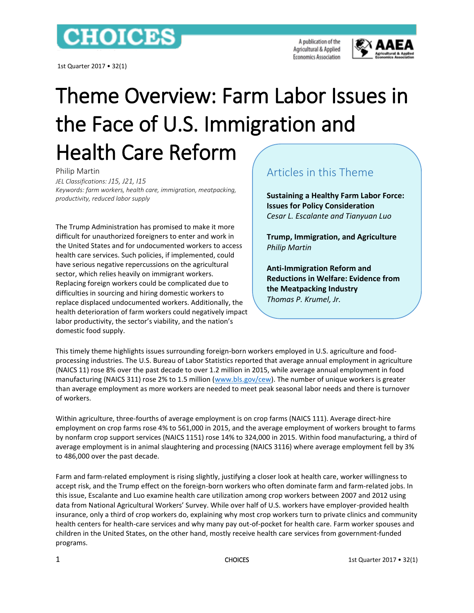## **CHOICES**

1st Quarter 2017 • 32(1)

A publication of the Agricultural & Applied **Economics Association** 



## Theme Overview: Farm Labor Issues in the Face of U.S. Immigration and Health Care Reform

Philip Martin

*JEL Classifications: J15, J21, I15 Keywords: farm workers, health care, immigration, meatpacking, productivity, reduced labor supply*

The Trump Administration has promised to make it more difficult for unauthorized foreigners to enter and work in the United States and for undocumented workers to access health care services. Such policies, if implemented, could have serious negative repercussions on the agricultural sector, which relies heavily on immigrant workers. Replacing foreign workers could be complicated due to difficulties in sourcing and hiring domestic workers to replace displaced undocumented workers. Additionally, the health deterioration of farm workers could negatively impact labor productivity, the sector's viability, and the nation's domestic food supply.

## Articles in this Theme

**Sustaining a Healthy Farm Labor Force: Issues for Policy Consideration** *Cesar L. Escalante and Tianyuan Luo*

**Trump, Immigration, and Agriculture** *Philip Martin*

**Anti-Immigration Reform and Reductions in Welfare: Evidence from the Meatpacking Industry** *Thomas P. Krumel, Jr.*

This timely theme highlights issues surrounding foreign-born workers employed in U.S. agriculture and foodprocessing industries. The U.S. Bureau of Labor Statistics reported that average annual employment in agriculture (NAICS 11) rose 8% over the past decade to over 1.2 million in 2015, while average annual employment in food manufacturing (NAICS 311) rose 2% to 1.5 million [\(www.bls.gov/cew\)](http://www.bls.gov/cew). The number of unique workers is greater than average employment as more workers are needed to meet peak seasonal labor needs and there is turnover of workers.

Within agriculture, three-fourths of average employment is on crop farms (NAICS 111). Average direct-hire employment on crop farms rose 4% to 561,000 in 2015, and the average employment of workers brought to farms by nonfarm crop support services (NAICS 1151) rose 14% to 324,000 in 2015. Within food manufacturing, a third of average employment is in animal slaughtering and processing (NAICS 3116) where average employment fell by 3% to 486,000 over the past decade.

Farm and farm-related employment is rising slightly, justifying a closer look at health care, worker willingness to accept risk, and the Trump effect on the foreign-born workers who often dominate farm and farm-related jobs. In this issue, Escalante and Luo examine health care utilization among crop workers between 2007 and 2012 using data from National Agricultural Workers' Survey. While over half of U.S. workers have employer-provided health insurance, only a third of crop workers do, explaining why most crop workers turn to private clinics and community health centers for health-care services and why many pay out-of-pocket for health care. Farm worker spouses and children in the United States, on the other hand, mostly receive health care services from government-funded programs.